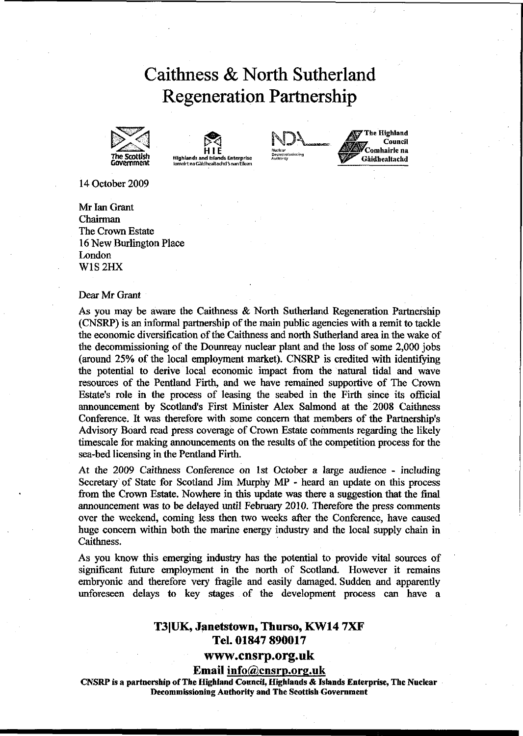# Caithness & North Sutherland Regeneration Partnership







**^7 The Highland c'ounci, / Comhairle na<br>Gàidhealtachd** 

14 October 2009

Mr Ian Grant Chairman The Crown Estate 16 New Burlington Place London W1S2HX

#### Dear Mr Grant

As you may be aware the Caithness & North Sutherland Regeneration Partnership (CNSRP) is an informal partnership of the main public agencies with a remit to tackle the economic diversification of the Caithness and north Sutherland area in the wake of the decommissioning of the Dounreay nuclear plant and the loss of some 2,000 jobs (around 25% of the local employment market). CNSRP is credited with identifying the potential to derive local economic impact from the natural tidal and wave resources of the Pentland Firth, and we have remained supportive of The Crown Estate's role in the process of leasing the seabed in the Firth since its official announcement by Scotland's First Minister Alex Salmond at the 2008 Caithness Conference. It was therefore with some concern that members of the Partnership's Advisory Board read press coverage of Crown Estate comments regarding the likely timescale for making announcements on the results of the competition process for the sea-bed licensing in the Pentland Firth.

At the 2009 Caithness Conference on 1st October a large audience - including Secretary of State for Scotland Jim Murphy MP - heard an update on this process from the Crown Estate. Nowhere in this update was there a suggestion that the final announcement was to be delayed until February 2010. Therefore the press comments over the weekend, coming less then two weeks after the Conference, have caused huge concern within both the marine energy industry and the local supply chain in Caithness.

As you know this emerging industry has the potential to provide vital sources of significant future employment in the north of Scotland. However it remains embryonic and therefore very fragile and easily damaged. Sudden and apparently unforeseen delays to key stages of the development process can have a

## T3|UK, Janetstown, Thurso, KW14 7XF Tel. 01847 890017

### **www.cnsrp.org.uk**

Email info@cnsrp.org.uk

**CNSRP is a partnership of The Highland Council, Highlands & Islands Enterprise, The Nuclear Decommissioning Authority and The Scottish Government**